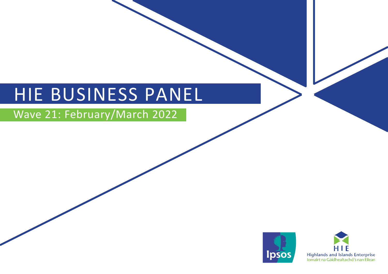# HIE BUSINESS PANEL

## Wave 21: February/March 2022



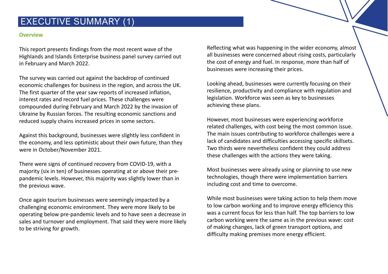### EXECUTIVE SUMMARY (1)

### **Overview**

This report presents findings from the most recent wave of the Highlands and Islands Enterprise business panel survey carried out in February and March 2022.

The survey was carried out against the backdrop of continued economic challenges for business in the region, and across the UK. The first quarter of the year saw reports of increased inflation, interest rates and record fuel prices. These challenges were compounded during February and March 2022 by the invasion of Ukraine by Russian forces. The resulting economic sanctions and reduced supply chains increased prices in some sectors.

Against this background, businesses were slightly less confident in the economy, and less optimistic about their own future, than they were in October/November 2021.

There were signs of continued recovery from COVID-19, with a majority (six in ten) of businesses operating at or above their prepandemic levels. However, this majority was slightly lower than in the previous wave.

Once again tourism businesses were seemingly impacted by a challenging economic environment. They were more likely to be operating below pre-pandemic levels and to have seen a decrease in sales and turnover and employment. That said they were more likely to be striving for growth.

Reflecting what was happening in the wider economy, almost all businesses were concerned about rising costs, particularly the cost of energy and fuel. In response, more than half of businesses were increasing their prices.

Looking ahead, businesses were currently focusing on their resilience, productivity and compliance with regulation and legislation. Workforce was seen as key to businesses achieving these plans.

However, most businesses were experiencing workforce related challenges, with cost being the most common issue. The main issues contributing to workforce challenges were a lack of candidates and difficulties accessing specific skillsets. Two thirds were nevertheless confident they could address these challenges with the actions they were taking.

Most businesses were already using or planning to use new technologies, though there were implementation barriers including cost and time to overcome.

While most businesses were taking action to help them move to low carbon working and to improve energy efficiency this was a current focus for less than half. The top barriers to low carbon working were the same as in the previous wave: cost of making changes, lack of green transport options, and difficulty making premises more energy efficient.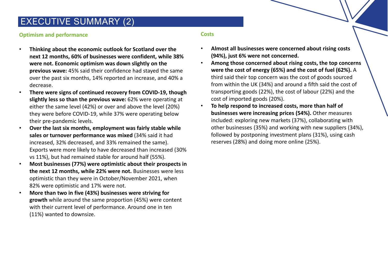### EXECUTIVE SUMMARY (2)

### **Optimism and performance**

- **Thinking about the economic outlook for Scotland over the next 12 months, 60% of businesses were confident, while 38% were not. Economic optimism was down slightly on the previous wave:** 45% said their confidence had stayed the same over the past six months, 14% reported an increase, and 40% a decrease.
- **There were signs of continued recovery from COVID-19, though slightly less so than the previous wave:** 62% were operating at either the same level (42%) or over and above the level (20%) they were before COVID-19, while 37% were operating below their pre-pandemic levels.
- **Over the last six months, employment was fairly stable while sales or turnover performance was mixed** (34% said it had increased, 32% decreased, and 33% remained the same). Exports were more likely to have decreased than increased (30% vs 11%), but had remained stable for around half (55%).
- **Most businesses (77%) were optimistic about their prospects in the next 12 months, while 22% were not.** Businesses were less optimistic than they were in October/November 2021, when 82% were optimistic and 17% were not.
- **More than two in five (43%) businesses were striving for growth** while around the same proportion (45%) were content with their current level of performance. Around one in ten (11%) wanted to downsize.

### **Costs**

- **Almost all businesses were concerned about rising costs (94%), just 6% were not concerned.**
- **Among those concerned about rising costs, the top concerns were the cost of energy (65%) and the cost of fuel (62%).** A third said their top concern was the cost of goods sourced from within the UK (34%) and around a fifth said the cost of transporting goods (22%), the cost of labour (22%) and the cost of imported goods (20%).
- **To help respond to increased costs, more than half of businesses were increasing prices (54%).** Other measures included: exploring new markets (37%), collaborating with other businesses (35%) and working with new suppliers (34%), followed by postponing investment plans (31%), using cash reserves (28%) and doing more online (25%).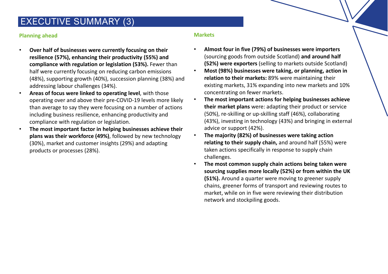### EXECUTIVE SUMMARY (3)

### **Planning ahead**

- **Over half of businesses were currently focusing on their resilience (57%), enhancing their productivity (55%) and compliance with regulation or legislation (53%).** Fewer than half were currently focusing on reducing carbon emissions (48%), supporting growth (40%), succession planning (38%) and addressing labour challenges (34%).
- **Areas of focus were linked to operating level**, with those operating over and above their pre-COVID-19 levels more likely than average to say they were focusing on a number of actions including business resilience, enhancing productivity and compliance with regulation or legislation.
- **The most important factor in helping businesses achieve their plans was their workforce (49%)**, followed by new technology (30%), market and customer insights (29%) and adapting products or processes (28%).

### **Markets**

- **Almost four in five (79%) of businesses were importers**  (sourcing goods from outside Scotland) **and around half (52%) were exporters** (selling to markets outside Scotland)
- **Most (98%) businesses were taking, or planning, action in relation to their markets:** 89% were maintaining their existing markets, 31% expanding into new markets and 10% concentrating on fewer markets.
- **The most important actions for helping businesses achieve their market plans** were: adapting their product or service (50%), re-skilling or up-skilling staff (46%), collaborating (43%), investing in technology (43%) and bringing in external advice or support (42%).
- **The majority (82%) of businesses were taking action relating to their supply chain,** and around half (55%) were taken actions specifically in response to supply chain challenges.
- **The most common supply chain actions being taken were sourcing supplies more locally (52%) or from within the UK (51%).** Around a quarter were moving to greener supply chains, greener forms of transport and reviewing routes to market, while on in five were reviewing their distribution network and stockpiling goods.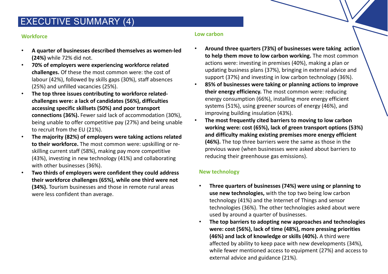### EXECUTIVE SUMMARY (4)

### **Workforce**

- **A quarter of businesses described themselves as women-led (24%)** while 72% did not.
- **70% of employers were experiencing workforce related challenges.** Of these the most common were: the cost of labour (42%), followed by skills gaps (30%), staff absences (25%) and unfilled vacancies (25%).
- **The top three issues contributing to workforce relatedchallenges were: a lack of candidates (56%), difficulties accessing specific skillsets (50%) and poor transport connections (36%).** Fewer said lack of accommodation (30%), being unable to offer competitive pay (27%) and being unable to recruit from the EU (21%).
- **The majority (82%) of employers were taking actions related to their workforce.** The most common were: upskilling or reskilling current staff (58%), making pay more competitive (43%), investing in new technology (41%) and collaborating with other businesses (36%).
- **Two thirds of employers were confident they could address their workforce challenges (65%), while one third were not (34%).** Tourism businesses and those in remote rural areas were less confident than average.

### **Low carbon**

- **Around three quarters (73%) of businesses were taking action to help them move to low carbon working.** The most common actions were: investing in premises (40%), making a plan or updating business plans (37%), bringing in external advice and support (37%) and investing in low carbon technology (36%).
- **85% of businesses were taking or planning actions to improve their energy efficiency.** The most common were: reducing energy consumption (66%), installing more energy efficient systems (51%), using greener sources of energy (46%), and improving building insulation (43%).
- **The most frequently cited barriers to moving to low carbon working were: cost (65%), lack of green transport options (53%) and difficulty making existing premises more energy efficient (46%).** The top three barriers were the same as those in the previous wave (when businesses were asked about barriers to reducing their greenhouse gas emissions).

### **New technology**

- **Three quarters of businesses (74%) were using or planning to use new technologies,** with the top two being low carbon technology (41%) and the Internet of Things and sensor technologies (36%). The other technologies asked about were used by around a quarter of businesses.
- **The top barriers to adopting new approaches and technologies were: cost (56%), lack of time (48%), more pressing priorities (46%) and lack of knowledge or skills (40%).** A third were affected by ability to keep pace with new developments (34%), while fewer mentioned access to equipment (27%) and access to external advice and guidance (21%).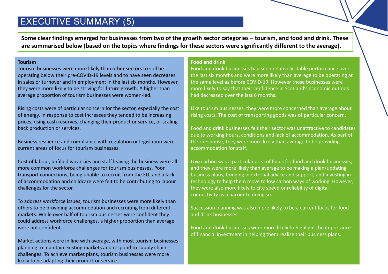### EXECUTIVE SUMMARY (5)

**Some clear findings emerged for businesses from two of the growth sector categories – tourism, and food and drink. These are summarised below (based on the topics where findings for these sectors were significantly different to the average).** 

#### **Tourism**

Tourism businesses were more likely than other sectors to still be operating below their pre-COVID-19 levels and to have seen decreases in sales or turnover and in employment in the last six months. However, they were more likely to be striving for future growth. A higher than average proportion of tourism businesses were women-led.

Rising costs were of particular concern for the sector, especially the cost of energy. In response to cost increases they tended to be increasing prices, using cash reserves, changing their product or service, or scaling back production or services.

Business resilience and compliance with regulation or legislation were current areas of focus for tourism businesses.

Cost of labour, unfilled vacancies and staff leaving the business were all more common workforce challenges for tourism businesses. Poor transport connections, being unable to recruit from the EU, and a lack of accommodation and childcare were felt to be contributing to labour challenges for the sector.

To address workforce issues, tourism businesses were more likely than others to be providing accommodation and recruiting from different markets. While over half of tourism businesses were confident they could address workforce challenges, a higher proportion than average were not confident.

Market actions were in line with average, with most tourism businesses planning to maintain existing markets and respond to supply chain challenges. To achieve market plans, tourism businesses were more likely to be adapting their product or service.

### **Food and drink**

Food and drink businesses had seen relatively stable performance over the last six months and were more likely than average to be operating at the same level as before COVID-19. However these businesses were more likely to say that their confidence in Scotland's economic outlook had decreased over the last 6 months.

Like tourism businesses, they were more concerned than average about rising costs. The cost of transporting goods was of particular concern.

Food and drink businesses felt their sector was unattractive to candidates due to working hours, conditions and lack of accommodation. As part of their response, they were more likely than average to be providing accommodation for staff.

Low carbon was a particular area of focus for food and drink businesses, and they were more likely than average to be making a plan/updating business plans, bringing in external advice and support, and investing in technology to help them move to low carbon ways of working. However, they were also more likely to cite speed or reliability of digital connectivity as a barrier to doing so.

Succession planning was also more likely to be a current focus for food and drink businesses.

Food and drink businesses were more likely to highlight the importance of financial investment in helping them realise their business plans.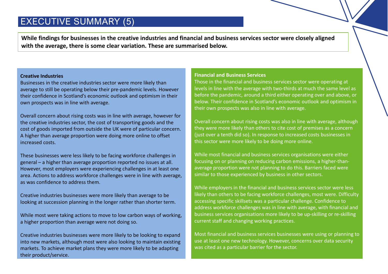### EXECUTIVE SUMMARY (5)

**While findings for businesses in the creative industries and financial and business services sector were closely aligned with the average, there is some clear variation. These are summarised below.**

#### **Creative Industries**

Businesses in the creative industries sector were more likely than average to still be operating below their pre-pandemic levels. However their confidence in Scotland's economic outlook and optimism in their own prospects was in line with average.

Overall concern about rising costs was in line with average, however for the creative industries sector, the cost of transporting goods and the cost of goods imported from outside the UK were of particular concern. A higher than average proportion were doing more online to offset increased costs.

These businesses were less likely to be facing workforce challenges in general – a higher than average proportion reported no issues at all. However, most employers were experiencing challenges in at least one area. Actions to address workforce challenges were in line with average, as was confidence to address them.

Creative industries businesses were more likely than average to be looking at succession planning in the longer rather than shorter term.

While most were taking actions to move to low carbon ways of working, a higher proportion than average were not doing so.

Creative industries businesses were more likely to be looking to expand into new markets, although most were also looking to maintain existing markets. To achieve market plans they were more likely to be adapting their product/service.

#### **Financial and Business Services**

Those in the financial and business services sector were operating at levels in line with the average with two-thirds at much the same level as before the pandemic, around a third either operating over and above, or below. Their confidence in Scotland's economic outlook and optimism in their own prospects was also in line with average.

Overall concern about rising costs was also in line with average, although they were more likely than others to cite cost of premises as a concern (just over a tenth did so). In response to increased costs businesses in this sector were more likely to be doing more online.

While most financial and business services organisations were either focusing on or planning on reducing carbon emissions, a higher-thanaverage proportion were not planning to do this. Barriers faced were similar to those experienced by business in other sectors.

While employers in the financial and business services sector were less likely than others to be facing workforce challenges, most were. Difficulty accessing specific skillsets was a particular challenge. Confidence to address workforce challenges was in line with average, with financial and business services organisations more likely to be up-skilling or re-skilling current staff and changing working practices.

Most financial and business services businesses were using or planning to use at least one new technology. However, concerns over data security was cited as a particular barrier for the sector.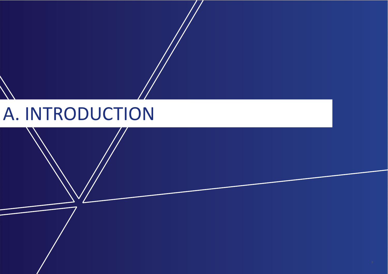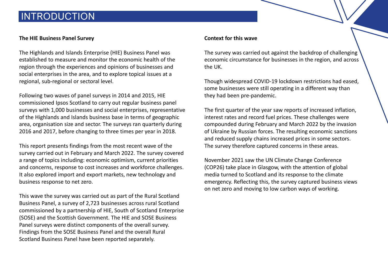### INTRODUCTION

### **The HIE Business Panel Survey**

The Highlands and Islands Enterprise (HIE) Business Panel was established to measure and monitor the economic health of the region through the experiences and opinions of businesses and social enterprises in the area, and to explore topical issues at a regional, sub-regional or sectoral level.

Following two waves of panel surveys in 2014 and 2015, HIE commissioned Ipsos Scotland to carry out regular business panel surveys with 1,000 businesses and social enterprises, representative of the Highlands and Islands business base in terms of geographic area, organisation size and sector. The surveys ran quarterly during 2016 and 2017, before changing to three times per year in 2018.

This report presents findings from the most recent wave of the survey carried out in February and March 2022. The survey covered a range of topics including: economic optimism, current priorities and concerns, response to cost increases and workforce challenges. It also explored import and export markets, new technology and business response to net zero.

This wave the survey was carried out as part of the Rural Scotland Business Panel, a survey of 2,723 businesses across rural Scotland commissioned by a partnership of HIE, South of Scotland Enterprise (SOSE) and the Scottish Government. The HIE and SOSE Business Panel surveys were distinct components of the overall survey. Findings from the SOSE Business Panel and the overall Rural Scotland Business Panel have been reported separately.

#### **Context for this wave**

The survey was carried out against the backdrop of challenging economic circumstance for businesses in the region, and across the UK.

Though widespread COVID-19 lockdown restrictions had eased, some businesses were still operating in a different way than they had been pre-pandemic.

The first quarter of the year saw reports of increased inflation, interest rates and record fuel prices. These challenges were compounded during February and March 2022 by the invasion of Ukraine by Russian forces. The resulting economic sanctions and reduced supply chains increased prices in some sectors. The survey therefore captured concerns in these areas.

November 2021 saw the UN Climate Change Conference (COP26) take place in Glasgow, with the attention of global media turned to Scotland and its response to the climate emergency. Reflecting this, the survey captured business views on net zero and moving to low carbon ways of working.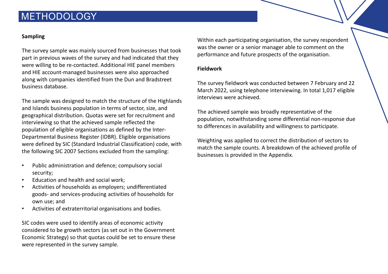### **METHODOLOGY**

### **Sampling**

The survey sample was mainly sourced from businesses that took part in previous waves of the survey and had indicated that they were willing to be re-contacted. Additional HIE panel members and HIE account-managed businesses were also approached along with companies identified from the Dun and Bradstreet business database.

The sample was designed to match the structure of the Highlands and Islands business population in terms of sector, size, and geographical distribution. Quotas were set for recruitment and interviewing so that the achieved sample reflected the population of eligible organisations as defined by the Inter-Departmental Business Register (IDBR). Eligible organisations were defined by SIC (Standard Industrial Classification) code, with the following SIC 2007 Sections excluded from the sampling:

- Public administration and defence; compulsory social security;
- Education and health and social work;
- Activities of households as employers; undifferentiated goods- and services-producing activities of households for own use; and
- Activities of extraterritorial organisations and bodies.

SIC codes were used to identify areas of economic activity considered to be growth sectors (as set out in the Government Economic Strategy) so that quotas could be set to ensure these were represented in the survey sample.

Within each participating organisation, the survey respondent was the owner or a senior manager able to comment on the performance and future prospects of the organisation.

### **Fieldwork**

The survey fieldwork was conducted between 7 February and 22 March 2022, using telephone interviewing. In total 1,017 eligible interviews were achieved.

The achieved sample was broadly representative of the population, notwithstanding some differential non-response due to differences in availability and willingness to participate.

Weighting was applied to correct the distribution of sectors to match the sample counts. A breakdown of the achieved profile of businesses is provided in the Appendix.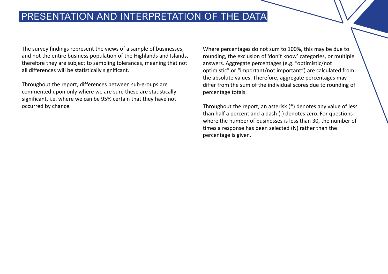### PRESENTATION AND INTERPRETATION OF THE DATA

The survey findings represent the views of a sample of businesses, and not the entire business population of the Highlands and Islands, therefore they are subject to sampling tolerances, meaning that not all differences will be statistically significant.

Throughout the report, differences between sub-groups are commented upon only where we are sure these are statistically significant, i.e. where we can be 95% certain that they have not occurred by chance.

Where percentages do not sum to 100%, this may be due to rounding, the exclusion of 'don't know' categories, or multiple answers. Aggregate percentages (e.g. "optimistic/not optimistic" or "important/not important") are calculated from the absolute values. Therefore, aggregate percentages may differ from the sum of the individual scores due to rounding of percentage totals.

Throughout the report, an asterisk (\*) denotes any value of less than half a percent and a dash (-) denotes zero. For questions where the number of businesses is less than 30, the number of times a response has been selected (N) rather than the percentage is given.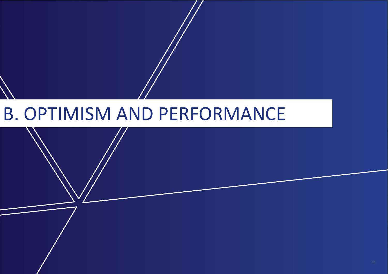## B. OPTIMISM AND PERFORMANCE

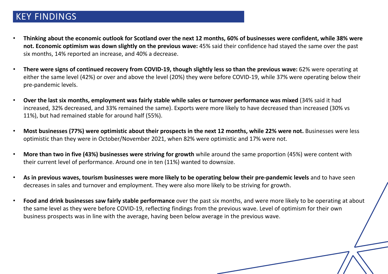### KEY FINDINGS

- **Thinking about the economic outlook for Scotland over the next 12 months, 60% of businesses were confident, while 38% were not. Economic optimism was down slightly on the previous wave:** 45% said their confidence had stayed the same over the past six months, 14% reported an increase, and 40% a decrease.
- **There were signs of continued recovery from COVID-19, though slightly less so than the previous wave:** 62% were operating at either the same level (42%) or over and above the level (20%) they were before COVID-19, while 37% were operating below their pre-pandemic levels.
- **Over the last six months, employment was fairly stable while sales or turnover performance was mixed** (34% said it had increased, 32% decreased, and 33% remained the same). Exports were more likely to have decreased than increased (30% vs 11%), but had remained stable for around half (55%).
- **Most businesses (77%) were optimistic about their prospects in the next 12 months, while 22% were not.** Businesses were less optimistic than they were in October/November 2021, when 82% were optimistic and 17% were not.
- their current level of performance. Around one in ten (11%) wanted to downsize. • **More than two in five (43%) businesses were striving for growth** while around the same proportion (45%) were content with
- As in previous waves, tourism businesses were more likely to be operating below their pre-pandemic levels and to have seen decreases in sales and turnover and employment. They were also more likely to be striving for growth.<br>
- **Food and drink businesses saw fairly stable performance** over the past six months, and were more likely to be operating at about the same level as they were before COVID-19, reflecting findings from the previous wave. Level of optimism for their own business prospects was in line with the average, having been below average in the previous wave.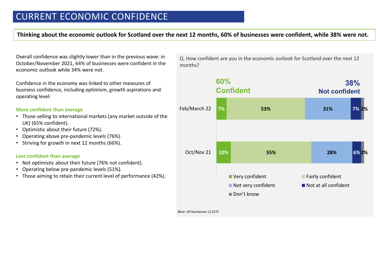**Thinking about the economic outlook for Scotland over the next 12 months, 60% of businesses were confident, while 38% were not.** 

Overall confidence was slightly lower than in the previous wave: in October/November 2021, 64% of businesses were confident in the economic outlook while 34% were not.

Confidence in the economy was linked to other measures of business confidence, including optimism, growth aspirations and operating level:

#### **More confident than average**

- Those selling to international markets (any market outside of the UK) (65% confident).
- Optimistic about their future (72%).
- Operating above pre-pandemic levels (76%).
- Striving for growth in next 12 months (66%).

#### **Less confident than average**

- Not optimistic about their future (76% not confident).
- Operating below pre-pandemic levels (51%).
- Those aiming to retain their current level of performance (42%).

Q. How confident are you in the economic outlook for Scotland over the next 12 months?



*Base: All businesses (1,017)*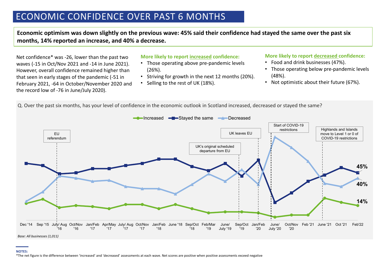### ECONOMIC CONFIDENCE OVER PAST 6 MONTHS

**Economic optimism was down slightly on the previous wave: 45% said their confidence had stayed the same over the past six months, 14% reported an increase, and 40% a decrease.** 

Net confidence\* was -26, lower than the past two waves (-15 in Oct/Nov 2021 and -14 in June 2021). However, overall confidence remained higher than that seen in early stages of the pandemic (-51 in February 2021, -64 in October/November 2020 and the record low of -76 in June/July 2020).

#### **More likely to report increased confidence:**

- Those operating above pre-pandemic levels (26%).
- Striving for growth in the next 12 months (20%).
- Selling to the rest of UK (18%).

#### **More likely to report decreased confidence:**

- Food and drink businesses (47%).
- Those operating below pre-pandemic levels (48%).
- Not optimistic about their future (67%).

Q. Over the past six months, has your level of confidence in the economic outlook in Scotland increased, decreased or stayed the same?



#### **NOTES:**

\*The net figure is the difference between 'increased' and 'decreased' assessments at each wave. Net scores are positive when positive assessments exceed negative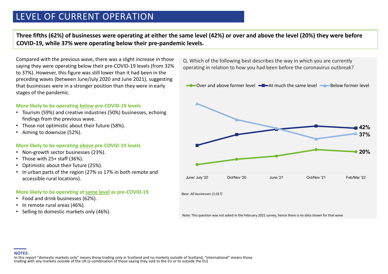### LEVEL OF CURRENT OPERATION

**Three fifths (62%) of businesses were operating at either the same level (42%) or over and above the level (20%) they were before COVID-19, while 37% were operating below their pre-pandemic levels.** 

Compared with the previous wave, there was a slight increase in those saying they were operating below their pre-COVID-19 levels (from 32% to 37%). However, this figure was still lower than it had been in the preceding waves (between June/July 2020 and June 2021), suggesting that businesses were in a stronger position than they were in early stages of the pandemic.

#### **More likely to be operating below pre-COVID-19 levels**

- Tourism (59%) and creative industries (50%) businesses, echoing findings from the previous wave.
- Those not optimistic about their future (58%).
- Aiming to downsize (52%).

#### **More likely to be operating above pre-COVID-19 levels**

- Non-growth sector businesses (23%).
- Those with 25+ staff (36%).
- Optimistic about their future (25%).
- In urban parts of the region (27% vs 17% in both remote and accessible rural locations).

### **More likely to be operating at <b>same level** as pre-COVID-19

- Food and drink businesses (62%).
- In remote rural areas (46%).
- Selling to domestic markets only (46%).

Q. Which of the following best describes the way in which you are currently operating in relation to how you had been before the coronavirus outbreak?

**20% 42% 37%** June/ July '20 Oct/Nov '20 June '21 Oct/Nov '21 Feb/Mar '22  $\rightarrow$  Over and above former level  $\rightarrow$  At much the same level  $\rightarrow$  Below former level

*Base: All businesses (1,017)*

Note: This question was not asked in the February 2021 survey, hence there is no data shown for that wave

**NOTES:**<br>In this report "domestic markets only" means those trading only in Scotland and no markets outside of Scotland; "international" means those<br>trading with any markets outside of the UK (a combination of those saying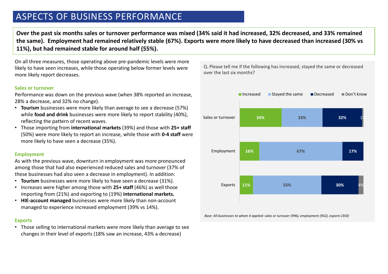### ASPECTS OF BUSINESS PERFORMANCE

**Over the past six months sales or turnover performance was mixed (34% said it had increased, 32% decreased, and 33% remained the same). Employment had remained relatively stable (67%). Exports were more likely to have decreased than increased (30% vs 11%), but had remained stable for around half (55%).** 

On all three measures, those operating above pre-pandemic levels were more likely to have seen increases, while those operating below former levels were more likely report decreases.

#### **Sales or turnover**

Performance was down on the previous wave (when 38% reported an increase, 28% a decrease, and 32% no change).

- **Tourism** businesses were more likely than average to see a decrease (57%) while **food and drink** businesses were more likely to report stability (40%), reflecting the pattern of recent waves.
- Those importing from **international markets** (39%) and those with **25+ staff**  (50%) were more likely to report an increase, while those with **0-4 staff** were more likely to have seen a decrease (35%).

#### **Employment**

As with the previous wave, downturn in employment was more pronounced among those that had also experienced reduced sales and turnover (37% of these businesses had also seen a decrease in employment). In addition:

- **Tourism** businesses were more likely to have seen a decrease (31%).
- Increases were higher among those with **25+ staff** (46%) as well those importing from (21%) and exporting to (19%) international markets. importing from (21%) and exporting to (19%) **international markets.**
- **HIE-account managed** businesses were more likely than non-account managed to experience increased employment (39% vs 14%).

#### **Exports**

• Those selling to international markets were more likely than average to see changes in their level of exports (18% saw an increase, 43% a decrease)

Q. Please tell me if the following has increased, stayed the same or decreased over the last six months?



*Base: All businesses to whom it applied: sales or turnover (996), employment (952), exports (350)*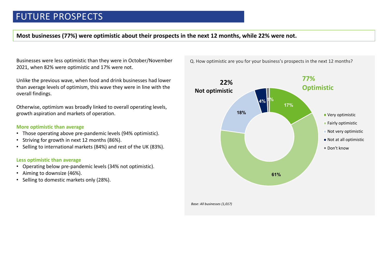**Most businesses (77%) were optimistic about their prospects in the next 12 months, while 22% were not.** 

Businesses were less optimistic than they were in October/November 2021, when 82% were optimistic and 17% were not.

Unlike the previous wave, when food and drink businesses had lower than average levels of optimism, this wave they were in line with the overall findings.

Otherwise, optimism was broadly linked to overall operating levels, growth aspiration and markets of operation.

#### **More optimistic than average**

- Those operating above pre-pandemic levels (94% optimistic).
- Striving for growth in next 12 months (86%).
- Selling to international markets (84%) and rest of the UK (83%).

#### **Less optimistic than average Less optimistic than average**

- Operating below pre-pandemic levels (34% not optimistic).
- Operating below pre-pariderlife levels (3<br>• Aiming to downsize (46%).
- Selling to domisize (40%).



Q. How optimistic are you for your business's prospects in the next 12 months?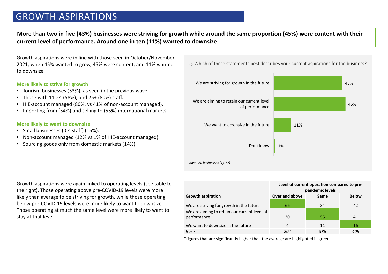### GROWTH ASPIRATIONS

**More than two in five (43%) businesses were striving for growth while around the same proportion (45%) were content with their current level of performance. Around one in ten (11%) wanted to downsize**.

Growth aspirations were in line with those seen in October/November 2021, when 45% wanted to grow, 45% were content, and 11% wanted to downsize.

#### **More likely to strive for growth**

- Tourism businesses (53%), as seen in the previous wave.
- Those with 11-24 (58%), and 25+ (80%) staff.
- HIE-account managed (80%, vs 41% of non-account managed).
- Importing from (54%) and selling to (55%) international markets.

#### **More likely to want to downsize**

and Islands in 2020, the 2020 state of 2020 state of 2020 state of 2020 state of 2020 state of 2020 state of 20

- Small businesses (0-4 staff) (15%).
- Non-account managed (12% vs 1% of HIE-account managed).
- Sourcing goods only from domestic markets (14%).



-39% the right). Those operating above pre-COVID-19 levels were more Growth aspirations were again linked to operating levels (see table to likely than average to be striving for growth, while those operating below pre-COVID-19 levels were more likely to want to downsize. Those operating at much the same level were more likely to want to stay at that level.

|                                                             | Level of current operation compared to pre-<br>pandemic levels |      |              |  |
|-------------------------------------------------------------|----------------------------------------------------------------|------|--------------|--|
| <b>Growth aspiration</b>                                    | Over and above                                                 | Same | <b>Below</b> |  |
| We are striving for growth in the future                    | 66                                                             | 34   | 42           |  |
| We are aiming to retain our current level of<br>performance | 30                                                             | 55   | 41           |  |
| We want to downsize in the future                           | 4                                                              | 11   | 16           |  |
| Base                                                        | 204                                                            | 386  | 409          |  |

\*figures that are significantly higher than the average are highlighted in green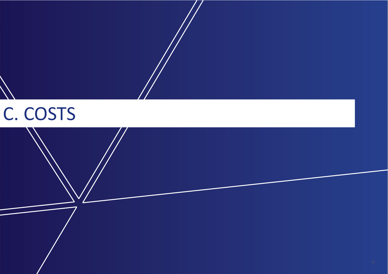

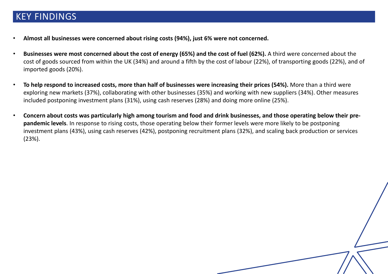### KEY FINDINGS

- **Almost all businesses were concerned about rising costs (94%), just 6% were not concerned.**
- **Businesses were most concerned about the cost of energy (65%) and the cost of fuel (62%).** A third were concerned about the cost of goods sourced from within the UK (34%) and around a fifth by the cost of labour (22%), of transporting goods (22%), and of imported goods (20%).
- **To help respond to increased costs, more than half of businesses were increasing their prices (54%).** More than a third were exploring new markets (37%), collaborating with other businesses (35%) and working with new suppliers (34%). Other measures included postponing investment plans (31%), using cash reserves (28%) and doing more online (25%).
- **Concern about costs was particularly high among tourism and food and drink businesses, and those operating below their prepandemic levels**. In response to rising costs, those operating below their former levels were more likely to be postponing investment plans (43%), using cash reserves (42%), postponing recruitment plans (32%), and scaling back production or services (23%).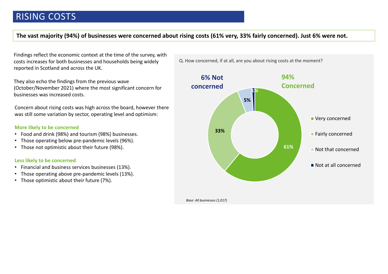### **The vast majority (94%) of businesses were concerned about rising costs (61% very, 33% fairly concerned). Just 6% were not.**

Findings reflect the economic context at the time of the survey, with costs increases for both businesses and households being widely reported in Scotland and across the UK.

They also echo the findings from the previous wave (October/November 2021) where the most significant concern for businesses was increased costs.

Concern about rising costs was high across the board, however there was still some variation by sector, operating level and optimism:

#### **More likely to be concerned**

- Food and drink (98%) and tourism (98%) businesses.
- Those operating below pre-pandemic levels (96%).
- Those not optimistic about their future (98%).

### **Less likely to be concerned**

- Financial and business services businesses (13%).
- Those operating above pre-pandemic levels (13%).
- Those optimistic about their future (7%).

Q. How concerned, if at all, are you about rising costs at the moment?



*Base: All businesses (1,017)*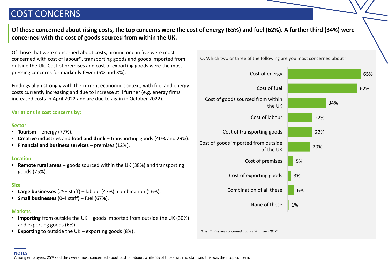### COST CONCERNS

**Of those concerned about rising costs, the top concerns were the cost of energy (65%) and fuel (62%). A further third (34%) were concerned with the cost of goods sourced from within the UK.**

Of those that were concerned about costs, around one in five were most concerned with cost of labour\*, transporting goods and goods imported from outside the UK. Cost of premises and cost of exporting goods were the most pressing concerns for markedly fewer (5% and 3%).

Findings align strongly with the current economic context, with fuel and energy costs currently increasing and due to increase still further (e.g. energy firms increased costs in April 2022 and are due to again in October 2022).

### **Variations in cost concerns by:**

#### **Sector**

- **Tourism** energy  $(77%)$ .
- **Creative industries** and **food and drink**  transporting goods (40% and 29%).
- **Financial and business services**  premises (12%).

#### **Location**

• **Remote rural areas** – goods sourced within the UK (38%) and transporting goods (25%).

#### **Size**

- **Large businesses** (25+ staff) labour (47%), combination (16%).
- **Small businesses** (0-4 staff) fuel (67%).

#### **Markets**

- **Importing** from outside the UK goods imported from outside the UK (30%) and exporting goods (6%).
- **Exporting** to outside the UK exporting goods (8%).

Q. Which two or three of the following are you most concerned about?

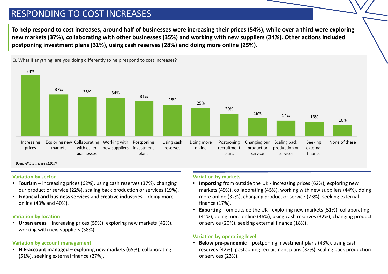### RESPONDING TO COST INCREASES

**To help respond to cost increases, around half of businesses were increasing their prices (54%), while over a third were exploring new markets (37%), collaborating with other businesses (35%) and working with new suppliers (34%). Other actions included postponing investment plans (31%), using cash reserves (28%) and doing more online (25%).** 



Q. What if anything, are you doing differently to help respond to cost increases?

*Base: All businesses (1,017)*

#### **Variation by sector**

- **Tourism** increasing prices (62%), using cash reserves (37%), changing our product or service (22%), scaling back production or services (19%).
- **Financial and business services** and **creative industries**  doing more online (43% and 40%).

### **Variation by location**

• **Urban areas** – increasing prices (59%), exploring new markets (42%), working with new suppliers (38%).

### **Variation by account management**

• **HIE-account managed** – exploring new markets (65%), collaborating (51%), seeking external finance (27%).

### **Variation by markets**

- **Importing** from outside the UK increasing prices (62%), exploring new markets (49%), collaborating (45%), working with new suppliers (44%), doing more online (32%), changing product or service (23%), seeking external finance (17%).
- **Exporting** from outside the UK exploring new markets (51%), collaborating (41%), doing more online (36%), using cash reserves (32%), changing product or service (20%), seeking external finance (18%).

### **Variation by operating level**

• **Below pre-pandemic** – postponing investment plans (43%), using cash reserves (42%), postponing recruitment plans (32%), scaling back production or services (23%).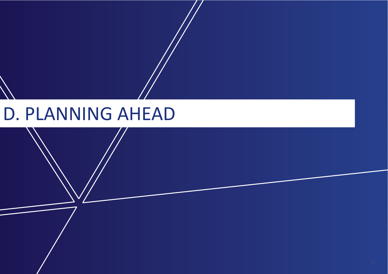## D. PLANNING AHEAD

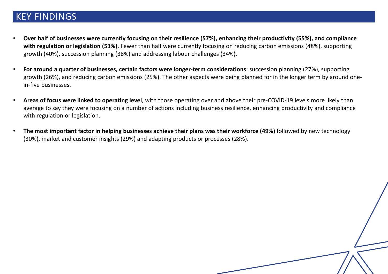### KEY FINDINGS

- **Over half of businesses were currently focusing on their resilience (57%), enhancing their productivity (55%), and compliance with regulation or legislation (53%).** Fewer than half were currently focusing on reducing carbon emissions (48%), supporting growth (40%), succession planning (38%) and addressing labour challenges (34%).
- **For around a quarter of businesses, certain factors were longer-term considerations**: succession planning (27%), supporting growth (26%), and reducing carbon emissions (25%). The other aspects were being planned for in the longer term by around onein-five businesses.
- **Areas of focus were linked to operating level**, with those operating over and above their pre-COVID-19 levels more likely than average to say they were focusing on a number of actions including business resilience, enhancing productivity and compliance with regulation or legislation.
- **The most important factor in helping businesses achieve their plans was their workforce (49%)** followed by new technology (30%), market and customer insights (29%) and adapting products or processes (28%).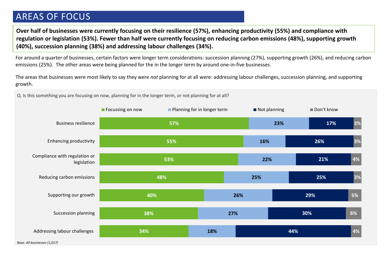### AREAS OF FOCUS

**Over half of businesses were currently focusing on their resilience (57%), enhancing productivity (55%) and compliance with regulation or legislation (53%). Fewer than half were currently focusing on reducing carbon emissions (48%), supporting growth (40%), succession planning (38%) and addressing labour challenges (34%).**

For around a quarter of businesses, certain factors were longer term considerations: succession planning (27%), supporting growth (26%), and reducing carbon emissions (25%). The other areas were being planned for the in the longer term by around one-in-five businesses.

The areas that businesses were most likely to say they were *not* planning for at all were: addressing labour challenges, succession planning, and supporting growth.

Q. Is this something you are focusing on now, planning for in the longer term, or not planning for at all?

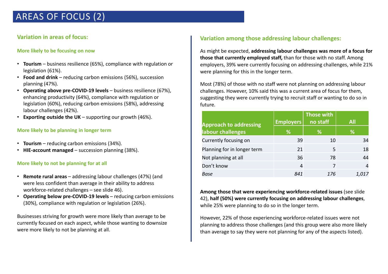### AREAS OF FOCUS (2)

### **Variation in areas of focus:**

### **More likely to be focusing on now**

- **Tourism**  business resilience (65%), compliance with regulation or legislation (61%).
- **Food and drink**  reducing carbon emissions (56%), succession planning (47%).
- **Operating above pre-COVID-19 levels** business resilience (67%), enhancing productivity (64%), compliance with regulation or legislation (60%), reducing carbon emissions (58%), addressing labour challenges (42%).
- **Exporting outside the UK** supporting our growth (46%).

### **More likely to be planning in longer term**

- **Tourism**  reducing carbon emissions (34%).
- **HIE-account managed**  succession planning (38%).

### **More likely to not be planning for at all**

- **Remote rural areas**  addressing labour challenges (47%) (and were less confident than average in their ability to address workforce-related challenges – see slide 46).
- **Operating below pre-COVID-19 levels** reducing carbon emissions (30%), compliance with regulation or legislation (26%).

Businesses striving for growth were more likely than average to be currently focused on each aspect, while those wanting to downsize were more likely to not be planning at all.

### **Variation among those addressing labour challenges:**

As might be expected, **addressing labour challenges was more of a focus for those that currently employed staff,** than for those with no staff. Among employers, 39% were currently focusing on addressing challenges, while 21% were planning for this in the longer term.

Most (78%) of those with no staff were not planning on addressing labour challenges. However, 10% said this was a current area of focus for them, suggesting they were currently trying to recruit staff or wanting to do so in future.

|                               |                  | <b>Those with</b> |            |
|-------------------------------|------------------|-------------------|------------|
| <b>Approach to addressing</b> | <b>Employers</b> | no staff          | <b>All</b> |
| labour challenges             | %                | ℅                 | ℅          |
| Currently focusing on         | 39               | 10                | 34         |
| Planning for in longer term   | 21               | 5                 | 18         |
| Not planning at all           | 36               | 78                | 44         |
| Don't know                    | 4                | 7                 | 4          |
| Base                          | 841              | 176               |            |

**Among those that were experiencing workforce-related issues** (see slide 42), **half (50%) were currently focusing on addressing labour challenges**, while 25% were planning to do so in the longer term.

However, 22% of those experiencing workforce-related issues were not planning to address those challenges (and this group were also more likely than average to say they were not planning for any of the aspects listed).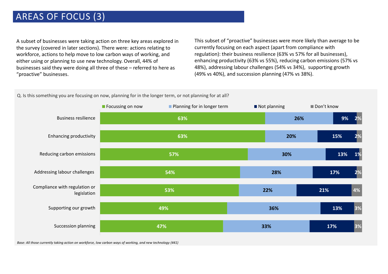### AREAS OF FOCUS (3)

A subset of businesses were taking action on three key areas explored in the survey (covered in later sections). There were: actions relating to workforce, actions to help move to low carbon ways of working, and either using or planning to use new technology. Overall, 44% of businesses said they were doing all three of these – referred to here as "proactive" businesses.

This subset of "proactive" businesses were more likely than average to be currently focusing on each aspect (apart from compliance with regulation): their business resilience (63% vs 57% for all businesses), enhancing productivity (63% vs 55%), reducing carbon emissions (57% vs 48%), addressing labour challenges (54% vs 34%), supporting growth (49% vs 40%), and succession planning (47% vs 38%).





*Base: All those currently taking action on workforce, low carbon ways of working, and new technology (441)*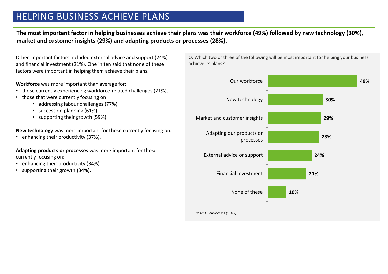### HELPING BUSINESS ACHIEVE PLANS

**The most important factor in helping businesses achieve their plans was their workforce (49%) followed by new technology (30%), market and customer insights (29%) and adapting products or processes (28%).** 

Other important factors included external advice and support (24%) and financial investment (21%). One in ten said that none of these factors were important in helping them achieve their plans.

**Workforce** was more important than average for:

- those currently experiencing workforce-related challenges (71%),
- those that were currently focusing on
	- addressing labour challenges (77%)
	- succession planning (61%)
	- supporting their growth (59%).

**New technology** was more important for those currently focusing on:

• enhancing their productivity (37%).

**Adapting products or processes** was more important for those currently focusing on:

- enhancing their productivity (34%)
- supporting their growth (34%).

Q. Which two or three of the following will be most important for helping your business achieve its plans?



*Base: All businesses (1,017)*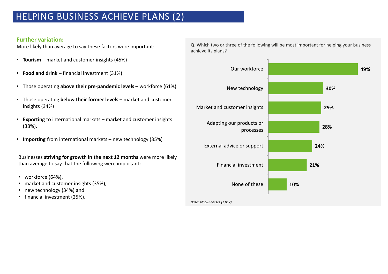### HELPING BUSINESS ACHIEVE PLANS (2)

### **Further variation:**

More likely than average to say these factors were important:

- **Tourism** market and customer insights (45%)
- **Food and drink**  financial investment (31%)
- Those operating **above their pre-pandemic levels** workforce (61%)
- Those operating **below their former levels** market and customer insights (34%)
- **Exporting** to international markets market and customer insights (38%).
- **Importing** from international markets new technology (35%)

Businesses **striving for growth in the next 12 months** were more likely than average to say that the following were important:

- workforce (64%),
- market and customer insights (35%),
- new technology  $(34%)$  and
- financial investment (25%).

Q. Which two or three of the following will be most important for helping your business achieve its plans?

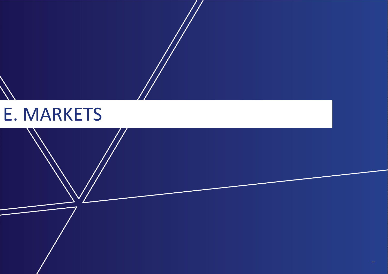## E. MARKETS

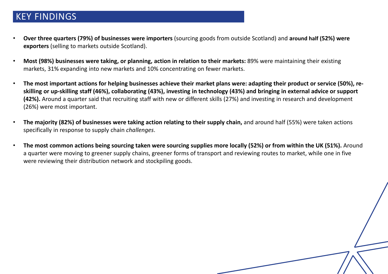### KEY FINDINGS

- **Over three quarters (79%) of businesses were importers** (sourcing goods from outside Scotland) and **around half (52%) were exporters** (selling to markets outside Scotland).
- **Most (98%) businesses were taking, or planning, action in relation to their markets:** 89% were maintaining their existing markets, 31% expanding into new markets and 10% concentrating on fewer markets.
- **The most important actions for helping businesses achieve their market plans were: adapting their product or service (50%), reskilling or up-skilling staff (46%), collaborating (43%), investing in technology (43%) and bringing in external advice or support (42%).** Around a quarter said that recruiting staff with new or different skills (27%) and investing in research and development (26%) were most important.
- **The majority (82%) of businesses were taking action relating to their supply chain,** and around half (55%) were taken actions specifically in response to supply chain *challenges*.
- **The most common actions being sourcing taken were sourcing supplies more locally (52%) or from within the UK (51%).** Around a quarter were moving to greener supply chains, greener forms of transport and reviewing routes to market, while one in five were reviewing their distribution network and stockpiling goods.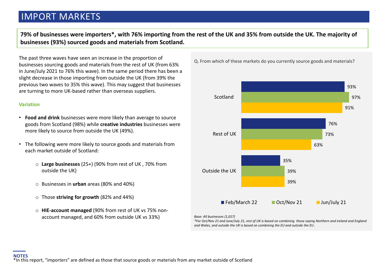### IMPORT MARKETS

**79% of businesses were importers\*, with 76% importing from the rest of the UK and 35% from outside the UK. The majority of businesses (93%) sourced goods and materials from Scotland.** 

The past three waves have seen an increase in the proportion of businesses sourcing goods and materials from the rest of UK (from 63% in June/July 2021 to 76% this wave). In the same period there has been a slight decrease in those importing from outside the UK (from 39% the previous two waves to 35% this wave). This may suggest that businesses are turning to more UK-based rather than overseas suppliers.

#### **Variation**

- **Food and drink** businesses were more likely than average to source goods from Scotland (98%) while **creative industries** businesses were more likely to source from outside the UK (49%).
- The following were more likely to source goods and materials from each market outside of Scotland:
	- o **Large businesses** (25+) (90% from rest of UK , 70% from outside the UK)
	- o Businesses in **urban** areas (80% and 40%)
	- o Those **striving for growth** (82% and 44%)
	- o **HIE-account managed** (90% from rest of UK vs 75% nonaccount managed, and 60% from outside UK vs 33%)





#### *Base: All businesses (1,017)*

*\*For Oct/Nov 21 and June/July 21, rest of UK is based on combining those saying Northern and Ireland and England and Wales, and outside the UK is based on combining the EU and outside the EU .*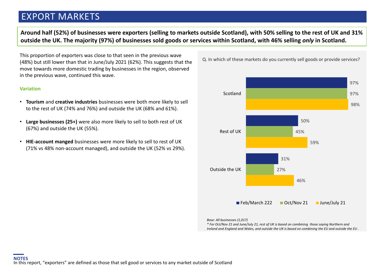### EXPORT MARKETS

**Around half (52%) of businesses were exporters (selling to markets outside Scotland), with 50% selling to the rest of UK and 31% outside the UK. The majority (97%) of businesses sold goods or services within Scotland, with 46% selling** *only* **in Scotland.** 

This proportion of exporters was close to that seen in the previous wave (48%) but still lower than that in June/July 2021 (62%). This suggests that the move towards more domestic trading by businesses in the region, observed in the previous wave, continued this wave.

#### **Variation**

- **Tourism** and **creative industries** businesses were both more likely to sell to the rest of UK (74% and 76%) and outside the UK (68% and 61%).
- **Large businesses (25+)** were also more likely to sell to both rest of UK (67%) and outside the UK (55%).
- **HIE-account manged** businesses were more likely to sell to rest of UK (71% vs 48% non-account managed), and outside the UK (52% vs 29%).

Q. In which of these markets do you currently sell goods or provide services?



*Base: All businesses (1,017)* 

*\* For Oct/Nov 21 and June/July 21, rest of UK is based on combining those saying Northern and Ireland and England and Wales, and outside the UK is based on combining the EU and outside the EU .*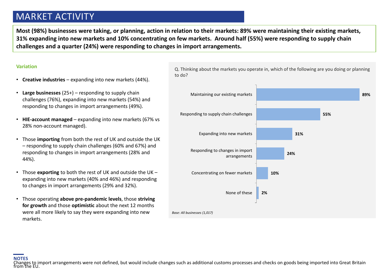### MARKET ACTIVITY

**Most (98%) businesses were taking, or planning, action in relation to their markets: 89% were maintaining their existing markets, 31% expanding into new markets and 10% concentrating on few markets. Around half (55%) were responding to supply chain challenges and a quarter (24%) were responding to changes in import arrangements.** 

#### **Variation**

- **Creative industries**  expanding into new markets (44%).
- **Large businesses** (25+) responding to supply chain challenges (76%), expanding into new markets (54%) and responding to changes in import arrangements (49%).
- **HIE-account managed**  expanding into new markets (67% vs 28% non-account managed).
- Those **importing** from both the rest of UK and outside the UK – responding to supply chain challenges (60% and 67%) and responding to changes in import arrangements (28% and 44%).
- to changes in import arrangements (29% and 32%). • Those **exporting** to both the rest of UK and outside the UK – expanding into new markets (40% and 46%) and responding
- Those operating **above pre-pandemic levels**, those **striving for growth** and those **optimistic** about the next 12 months were all more likely to say they were expanding into new markets.

Q. Thinking about the markets you operate in, which of the following are you doing or planning to do?

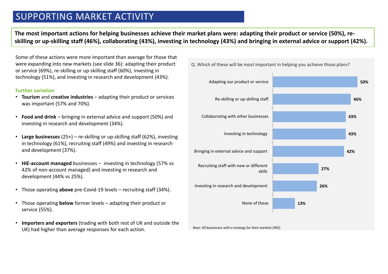### SUPPORTING MARKET ACTIVITY

**The most important actions for helping businesses achieve their market plans were: adapting their product or service (50%), reskilling or up-skilling staff (46%), collaborating (43%), investing in technology (43%) and bringing in external advice or support (42%).** 

Some of these actions were more important than average for those that were expanding into new markets (see slide 36): adapting their product or service (69%), re-skilling or up-skilling staff (60%), investing in technology (51%), and investing in research and development (43%).

#### **Further variation**

- **Tourism** and **creative industries**  adapting their product or services was important (57% and 70%).
- **Food and drink** bringing in external advice and support (50%) and investing in research and development (34%).
- **Large businesses** (25+) re-skilling or up-skilling staff (62%), investing in technology (61%), recruiting staff (49%) and investing in research and development (37%).
- **HIE-account managed** businesses investing in technology (57% vs 42% of non-account managed) and investing in research and development (44% vs 25%).
- Those operating **above** pre-Covid-19 levels recruiting staff (34%).
- Those operating **below** former levels adapting their product or service (55%).
- **Importers and exporters** (trading with both rest of UK and outside the UK) had higher than average responses for each action.

Q. Which of these will be most important in helping you achieve those plans?

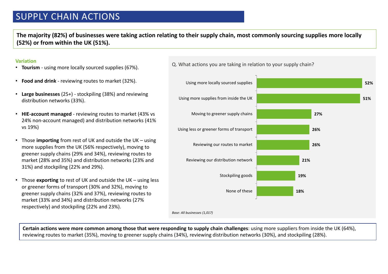### SUPPLY CHAIN ACTIONS

**The majority (82%) of businesses were taking action relating to their supply chain, most commonly sourcing supplies more locally (52%) or from within the UK (51%).** 

#### **Variation**

- **Tourism**  using more locally sourced supplies (67%).
- **Food and drink** reviewing routes to market (32%).
- **Large businesses** (25+) stockpiling (38%) and reviewing distribution networks (33%).
- **HIE-account managed**  reviewing routes to market (43% vs 24% non-account managed) and distribution networks (41% vs 19%)
- Those **importing** from rest of UK and outside the UK using more supplies from the UK (56% respectively), moving to greener supply chains (29% and 34%), reviewing routes to market (28% and 35%) and distribution networks (23% and 31%) and stockpiling (22% and 29%).
- or greener forms of transport (30% and 32%), moving to<br>greener supply chains (32% and 37%), reviewing routes to • Those **exporting** to rest of UK and outside the UK – using less or greener forms of transport (30% and 32%), moving to market (33% and 34%) and distribution networks (27% respectively) and stockpiling (22% and 23%).

*Base: All businesses (1,017)* **51% 27% 26% 26% 21% 19% 18%** Using more supplies from inside the UK Moving to greener supply chains Using less or greener forms of transport Reviewing our routes to market Reviewing our distribution network Stockpiling goods None of these

**52%**

Q. What actions you are taking in relation to your supply chain?

Using more locally sourced supplies

**Certain actions were more common among those that were responding to supply chain challenges**: using more suppliers from inside the UK (64%), reviewing routes to market (35%), moving to greener supply chains (34%), reviewing distribution networks (30%), and stockpiling (28%).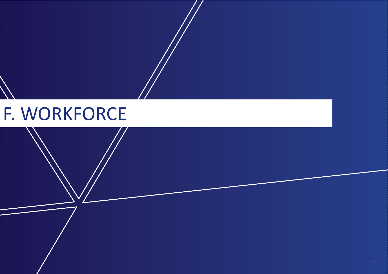## F. WORKFORCE

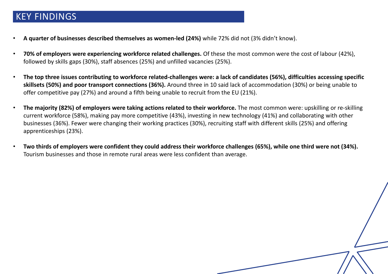### KEY FINDINGS

- **A quarter of businesses described themselves as women-led (24%)** while 72% did not (3% didn't know).
- **70% of employers were experiencing workforce related challenges.** Of these the most common were the cost of labour (42%), followed by skills gaps (30%), staff absences (25%) and unfilled vacancies (25%).
- **The top three issues contributing to workforce related-challenges were: a lack of candidates (56%), difficulties accessing specific skillsets (50%) and poor transport connections (36%).** Around three in 10 said lack of accommodation (30%) or being unable to offer competitive pay (27%) and around a fifth being unable to recruit from the EU (21%).
- **The majority (82%) of employers were taking actions related to their workforce.** The most common were: upskilling or re-skilling current workforce (58%), making pay more competitive (43%), investing in new technology (41%) and collaborating with other businesses (36%). Fewer were changing their working practices (30%), recruiting staff with different skills (25%) and offering apprenticeships (23%).
- **Two thirds of employers were confident they could address their workforce challenges (65%), while one third were not (34%).**  Tourism businesses and those in remote rural areas were less confident than average.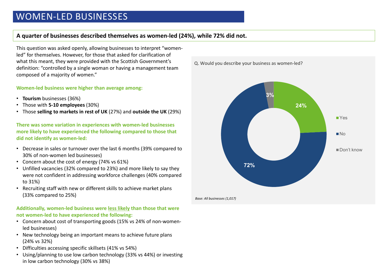### WOMEN-LED BUSINESSES

### **A quarter of businesses described themselves as women-led (24%), while 72% did not.**

This question was asked openly, allowing businesses to interpret "womenled" for themselves. However, for those that asked for clarification of what this meant, they were provided with the Scottish Government's definition: "controlled by a single woman or having a management team composed of a majority of women."

#### **Women-led business were higher than average among:**

- **Tourism** businesses (36%)
- Those with **5-10 employees** (30%)
- Those **selling to markets in rest of UK** (27%) and **outside the UK** (29%)

**There was some variation in experiences with women-led businesses more likely to have experienced the following compared to those that did not identify as women-led:** 

- Decrease in sales or turnover over the last 6 months (39% compared to 30% of non-women led businesses)
- Concern about the cost of energy (74% vs 61%)
- Unfilled vacancies (32% compared to 23%) and more likely to say they were not confident in addressing workforce challenges (40% compared to 31%)
- Recruiting staff with new or different skills to achieve market plans<br>(33% compared to  $25\%$ ) (33% compared to 25%)

**Additionally, women-led business were less likely than those that were not women-led to have experienced the following:**

- Concern about cost of transporting goods (15% vs 24% of non-womenled businesses)
- New technology being an important means to achieve future plans (24% vs 32%)
- Difficulties accessing specific skillsets (41% vs 54%)
- Using/planning to use low carbon technology (33% vs 44%) or investing in low carbon technology (30% vs 38%)

Q. Would you describe your business as women-led?



*Base: All businesses (1,017)*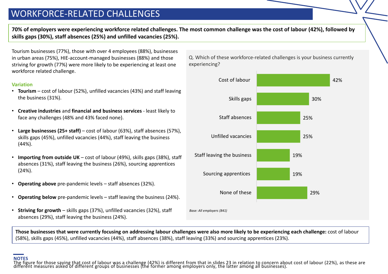### WORKFORCE-RELATED CHALLENGES

**70% of employers were experiencing workforce related challenges. The most common challenge was the cost of labour (42%), followed by skills gaps (30%), staff absences (25%) and unfilled vacancies (25%).** 

Tourism businesses (77%), those with over 4 employees (88%), businesses in urban areas (75%), HIE-account-managed businesses (88%) and those striving for growth (77%) were more likely to be experiencing at least one workforce related challenge.

#### **Variation**

- **Tourism** cost of labour (52%), unfilled vacancies (43%) and staff leaving the business (31%).
- **Creative industries** and **financial and business services**  least likely to face any challenges (48% and 43% faced none).
- **Large businesses (25+ staff)**  cost of labour (63%), staff absences (57%), skills gaps (45%), unfilled vacancies (44%), staff leaving the business (44%).
- **Importing from outside UK** cost of labour (49%), skills gaps (38%), staff absences (31%), staff leaving the business (26%), sourcing apprentices (24%).
- **Operating above** pre-pandemic levels staff absences (32%).
- **Operating below** pre-pandemic levels staff leaving the business (24%).
- **Striving for growth**  skills gaps (37%), unfilled vacancies (32%), staff absences (29%), staff leaving the business (24%).

Q. Which of these workforce-related challenges is your business currently experiencing?



**Those businesses that were currently focusing on addressing labour challenges were also more likely to be experiencing each challenge:** cost of labour (58%), skills gaps (45%), unfilled vacancies (44%), staff absences (38%), staff leaving (33%) and sourcing apprentices (23%).

#### **NOTES**

The figure for those saying that cost of labour was a challenge (42%) is different from that in slides 23 in relation to concern about cost of labour (22%), as these are different measures asked of different groups of busi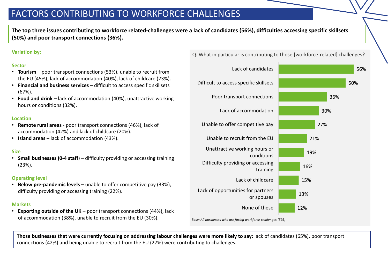### FACTORS CONTRIBUTING TO WORKFORCE CHALLENGES

**The top three issues contributing to workforce related-challenges were a lack of candidates (56%), difficulties accessing specific skillsets (50%) and poor transport connections (36%).** 

### **Variation by:**

### **Sector**

- **Tourism**  poor transport connections (53%), unable to recruit from the EU (45%), lack of accommodation (40%), lack of childcare (23%).
- **Financial and business services**  difficult to access specific skillsets (67%).
- **Food and drink**  lack of accommodation (40%), unattractive working hours or conditions (32%).

### **Location**

- **Remote rural areas**  poor transport connections (46%), lack of accommodation (42%) and lack of childcare (20%).
- **Island areas** lack of accommodation (43%).

### **Size**

• **Small businesses (0-4 staff**) – difficulty providing or accessing training (23%).

### **Operating level**

• **Below pre-pandemic levels** – unable to offer competitive pay (33%), difficulty providing or accessing training (22%).

### **Markets**

• **Exporting outside of the UK** – poor transport connections (44%), lack of accommodation (38%), unable to recruit from the EU (30%).

Q. What in particular is contributing to those [workforce-related] challenges?



**Those businesses that were currently focusing on addressing labour challenges were more likely to say:** lack of candidates (65%), poor transport connections (42%) and being unable to recruit from the EU (27%) were contributing to challenges.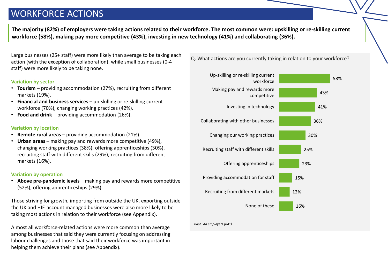### WORKFORCE ACTIONS

**The majority (82%) of employers were taking actions related to their workforce. The most common were: upskilling or re-skilling current workforce (58%), making pay more competitive (43%), investing in new technology (41%) and collaborating (36%).**

Large businesses (25+ staff) were more likely than average to be taking each action (with the exception of collaboration), while small businesses (0-4 staff) were more likely to be taking none.

### **Variation by sector**

- **Tourism** providing accommodation (27%), recruiting from different markets (19%).
- **Financial and business services**  up-skilling or re-skilling current workforce (70%), changing working practices (42%).
- **Food and drink**  providing accommodation (26%).

### **Variation by location**

- **Remote rural areas**  providing accommodation (21%).
- **Urban areas**  making pay and rewards more competitive (49%), changing working practices (38%), offering apprenticeships (30%), recruiting staff with different skills (29%), recruiting from different markets (16%).

### **Variation by operation**

• **Above pre-pandemic levels** – making pay and rewards more competitive (52%), offering apprenticeships (29%).

Those striving for growth, importing from outside the UK, exporting outside the UK and HIE-account managed businesses were also more likely to be taking most actions in relation to their workforce (see Appendix).

Almost all workforce-related actions were more common than average among businesses that said they were currently focusing on addressing labour challenges and those that said their workforce was important in helping them achieve their plans (see Appendix).

Q. What actions are you currently taking in relation to your workforce?



*Base: All employers (841)*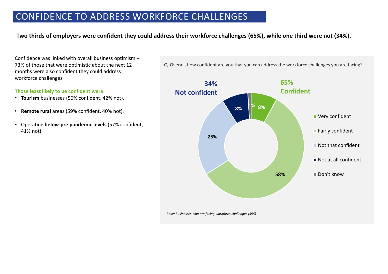### CONFIDENCE TO ADDRESS WORKFORCE CHALLENGES

### **Two thirds of employers were confident they could address their workforce challenges (65%), while one third were not (34%).**

Confidence was linked with overall business optimism – 73% of those that were optimistic about the next 12 months were also confident they could address workforce challenges.

#### **Those least likely to be confident were:**

- **Tourism** businesses (56% confident, 42% not).
- **Remote rural** areas (59% confident, 40% not).
- Operating **below-pre pandemic levels** (57% confident, 41% not).

Q. Overall, how confident are you that you can address the workforce challenges you are facing?



*Base: Businesses who are facing workforce challenges (595)*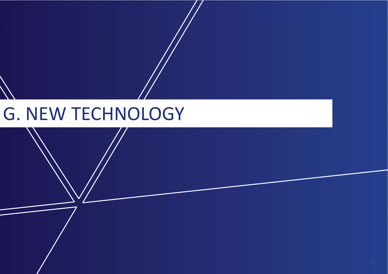## G. NEW TECHNOLOGY

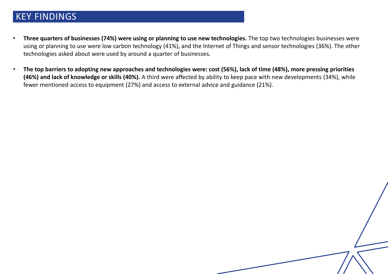### KEY FINDINGS

- **Three quarters of businesses (74%) were using or planning to use new technologies.** The top two technologies businesses were using or planning to use were low carbon technology (41%), and the Internet of Things and sensor technologies (36%). The other technologies asked about were used by around a quarter of businesses.
- **The top barriers to adopting new approaches and technologies were: cost (56%), lack of time (48%), more pressing priorities (46%) and lack of knowledge or skills (40%).** A third were affected by ability to keep pace with new developments (34%), while fewer mentioned access to equipment (27%) and access to external advice and guidance (21%).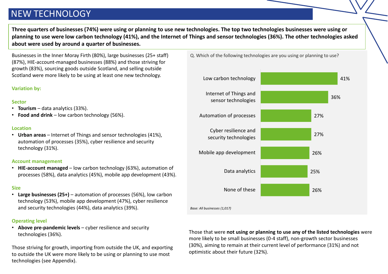### NEW TECHNOLOGY

**Three quarters of businesses (74%) were using or planning to use new technologies. The top two technologies businesses were using or planning to use were low carbon technology (41%), and the Internet of Things and sensor technologies (36%). The other technologies asked about were used by around a quarter of businesses.** 

Businesses in the Inner Moray Firth (80%), large businesses (25+ staff) (87%), HIE-account-managed businesses (88%) and those striving for growth (83%), sourcing goods outside Scotland, and selling outside Scotland were more likely to be using at least one new technology.

### **Variation by:**

### **Sector**

- **Tourism** data analytics (33%).
- **Food and drink**  low carbon technology (56%).

### **Location**

• **Urban areas** – Internet of Things and sensor technologies (41%), automation of processes (35%), cyber resilience and security technology (31%).

### **Account management**

• **HIE-account managed** – low carbon technology (63%), automation of processes (58%), data analytics (45%), mobile app development (43%).

### **Size**

• **Large businesses (25+)** – automation of processes (56%), low carbon technology (53%), mobile app development (47%), cyber resilience and security technologies (44%), data analytics (39%).

### **Operating level**

• **Above pre-pandemic levels** – cyber resilience and security technologies (36%).

Those striving for growth, importing from outside the UK, and exporting to outside the UK were more likely to be using or planning to use most technologies (see Appendix).

Q. Which of the following technologies are you using or planning to use?



Those that were **not using or planning to use any of the listed technologies** were more likely to be small businesses (0-4 staff), non-growth sector businesses (30%), aiming to remain at their current level of performance (31%) and not optimistic about their future (32%).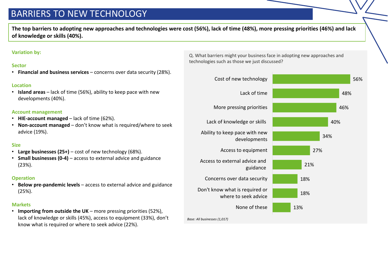### BARRIERS TO NEW TECHNOLOGY

**The top barriers to adopting new approaches and technologies were cost (56%), lack of time (48%), more pressing priorities (46%) and lack of knowledge or skills (40%).** 

### **Variation by:**

### **Sector**

• **Financial and business services** – concerns over data security (28%).

### **Location**

• **Island areas** – lack of time (56%), ability to keep pace with new developments (40%).

#### **Account management**

- **HIE-account managed**  lack of time (62%).
- **Non-account managed**  don't know what is required/where to seek advice (19%).

### **Size**

- **Large businesses (25+)**  cost of new technology (68%).
- **Small businesses (0-4)**  access to external advice and guidance (23%).

### **Operation**

• **Below pre-pandemic levels** – access to external advice and guidance (25%).

### **Markets**

• **Importing from outside the UK** – more pressing priorities (52%), lack of knowledge or skills (45%), access to equipment (33%), don't know what is required or where to seek advice (22%).

Q. What barriers might your business face in adopting new approaches and technologies such as those we just discussed?



*Base: All businesses (1,017)*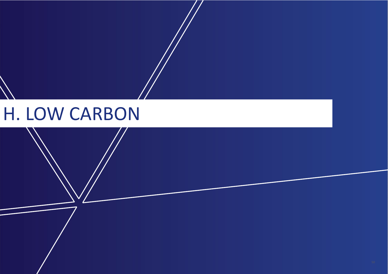## H. LOW CARBON

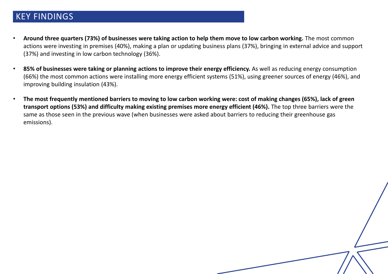### KEY FINDINGS

- **Around three quarters (73%) of businesses were taking action to help them move to low carbon working.** The most common actions were investing in premises (40%), making a plan or updating business plans (37%), bringing in external advice and support (37%) and investing in low carbon technology (36%).
- **85% of businesses were taking or planning actions to improve their energy efficiency.** As well as reducing energy consumption (66%) the most common actions were installing more energy efficient systems (51%), using greener sources of energy (46%), and improving building insulation (43%).
- **The most frequently mentioned barriers to moving to low carbon working were: cost of making changes (65%), lack of green transport options (53%) and difficulty making existing premises more energy efficient (46%).** The top three barriers were the same as those seen in the previous wave (when businesses were asked about barriers to reducing their greenhouse gas emissions).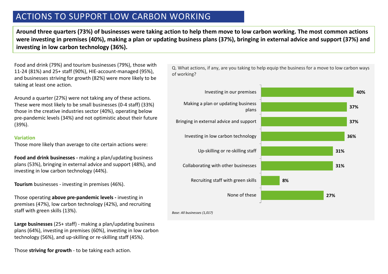### ACTIONS TO SUPPORT LOW CARBON WORKING

**Around three quarters (73%) of businesses were taking action to help them move to low carbon working. The most common actions were investing in premises (40%), making a plan or updating business plans (37%), bringing in external advice and support (37%) and investing in low carbon technology (36%).** 

Food and drink (79%) and tourism businesses (79%), those with 11-24 (81%) and 25+ staff (90%), HIE-account-managed (95%), and businesses striving for growth (82%) were more likely to be taking at least one action.

Around a quarter (27%) were not taking any of these actions. These were most likely to be small businesses (0-4 staff) (33%) those in the creative industries sector (40%), operating below pre-pandemic levels (34%) and not optimistic about their future (39%).

#### **Variation**

Those more likely than average to cite certain actions were:

**Food and drink businesses -** making a plan/updating business plans (53%), bringing in external advice and support (48%), and investing in low carbon technology (44%).

**Tourism** businesses - investing in premises (46%).<br>

Those operating **above pre-pandemic levels -** investing in premises (47%), low carbon technology (42%), and recruiting staff with green skills (13%).

**Large businesses** (25+ staff) - making a plan/updating business plans (64%), investing in premises (60%), investing in low carbon technology (56%), and up-skilling or re-skilling staff (45%).

Those **striving for growth** - to be taking each action.

**40% 37% 37% 36% 31% 31% 8% 27%** Investing in our premises Making a plan or updating business plans Bringing in external advice and support Investing in low carbon technology Up-skilling or re-skilling staff Collaborating with other businesses Recruiting staff with green skills None of these

*Base: All businesses (1,017)*

Q. What actions, if any, are you taking to help equip the business for a move to low carbon ways of working?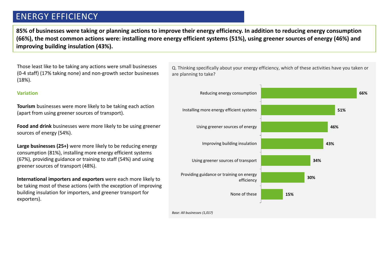### ENERGY EFFICIENCY

**85% of businesses were taking or planning actions to improve their energy efficiency. In addition to reducing energy consumption (66%), the most common actions were: installing more energy efficient systems (51%), using greener sources of energy (46%) and improving building insulation (43%).** 

Those least like to be taking any actions were small businesses (0-4 staff) (17% taking none) and non-growth sector businesses (18%).

#### **Variation**

**Tourism** businesses were more likely to be taking each action (apart from using greener sources of transport).

**Food and drink** businesses were more likely to be using greener sources of energy (54%).

**Large businesses (25+)** were more likely to be reducing energy consumption (81%), installing more energy efficient systems (67%), providing guidance or training to staff (54%) and using greener sources of transport (48%).

be taking most of these actions (with the exception of impr<br>building insulation for importers, and greener transport for **International importers and exporters** were each more likely to be taking most of these actions (with the exception of improving exporters).

Q. Thinking specifically about your energy efficiency, which of these activities have you taken or are planning to take?



*Base: All businesses (1,017)*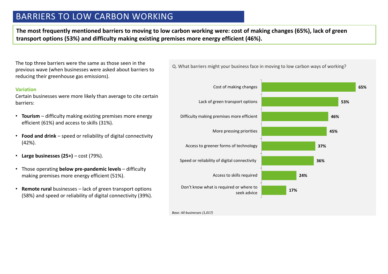### BARRIERS TO LOW CARBON WORKING

**The most frequently mentioned barriers to moving to low carbon working were: cost of making changes (65%), lack of green transport options (53%) and difficulty making existing premises more energy efficient (46%).** 

The top three barriers were the same as those seen in the previous wave (when businesses were asked about barriers to reducing their greenhouse gas emissions).

#### **Variation**

Certain businesses were more likely than average to cite certain barriers:

- **Tourism** difficulty making existing premises more energy efficient (61%) and access to skills (31%).
- **Food and drink**  speed or reliability of digital connectivity (42%).
- **Large businesses (25+)**  cost (79%).
- Those operating **below pre-pandemic levels**  difficulty making premises more energy efficient (51%).
- **Remote rural** businesses lack of green transport options<br>(E89%) and speed or reliability of digital connectivity (20%) (58%) and speed or reliability of digital connectivity (39%).



Q. What barriers might your business face in moving to low carbon ways of working?

*Base: All businesses (1,017)*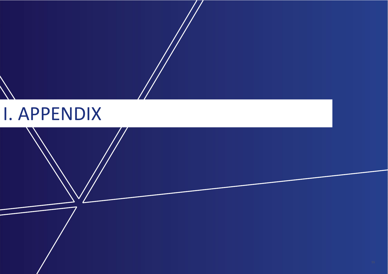## I. APPENDIX

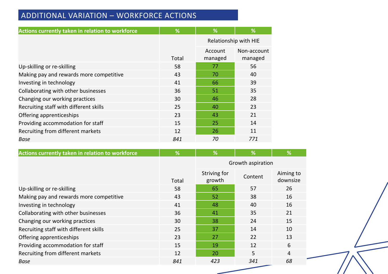### ADDITIONAL VARIATION – WORKFORCE ACTIONS

| Actions currently taken in relation to workforce | %     | %                     | %                      |
|--------------------------------------------------|-------|-----------------------|------------------------|
|                                                  |       | Relationship with HIE |                        |
|                                                  | Total | Account<br>managed    | Non-account<br>managed |
| Up-skilling or re-skilling                       | 58    | 77                    | 56                     |
| Making pay and rewards more competitive          | 43    | 70                    | 40                     |
| Investing in technology                          | 41    | 66                    | 39                     |
| Collaborating with other businesses              | 36    | 51                    | 35                     |
| Changing our working practices                   | 30    | 46                    | 28                     |
| Recruiting staff with different skills           | 25    | 40                    | 23                     |
| Offering apprenticeships                         | 23    | 43                    | 21                     |
| Providing accommodation for staff                | 15    | 25                    | 14                     |
| Recruiting from different markets                | 12    | 26                    | 11                     |
| <b>Base</b>                                      | 841   | 70                    | 771                    |

| Actions currently taken in relation to workforce | %     | %                      | %       | %                     |
|--------------------------------------------------|-------|------------------------|---------|-----------------------|
|                                                  |       | Growth aspiration      |         |                       |
|                                                  | Total | Striving for<br>growth | Content | Aiming to<br>downsize |
| Up-skilling or re-skilling                       | 58    | 65                     | 57      | 26                    |
| Making pay and rewards more competitive          | 43    | 52                     | 38      | 16                    |
| Investing in technology                          | 41    | 48                     | 40      | 16                    |
| Collaborating with other businesses              | 36    | 41                     | 35      | 21                    |
| Changing our working practices                   | 30    | 38                     | 24      | 15                    |
| Recruiting staff with different skills           | 25    | 37                     | 14      | 10                    |
| Offering apprenticeships                         | 23    | 27                     | 22      | 13                    |
| Providing accommodation for staff                | 15    | 19                     | 12      | 6                     |
| Recruiting from different markets                | 12    | 20                     | 5       | $\overline{4}$        |
| Base                                             | 841   | 423                    | 341     | 68                    |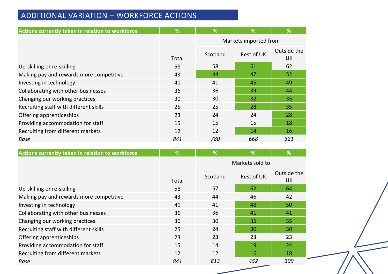### ADDITIONAL VARIATION – WORKFORCE ACTIONS

| Actions currently taken in relation to workforce | %     | $\overline{\%}$       | %                 | %                        |
|--------------------------------------------------|-------|-----------------------|-------------------|--------------------------|
|                                                  |       | Markets imported from |                   |                          |
|                                                  | Total | Scotland              | <b>Rest of UK</b> | Outside the<br><b>UK</b> |
| Up-skilling or re-skilling                       | 58    | 58                    | 61                | 62                       |
| Making pay and rewards more competitive          | 43    | 44                    | 47                | 52                       |
| Investing in technology                          | 41    | 41                    | 45                | 49                       |
| Collaborating with other businesses              | 36    | 36                    | 39                | 44                       |
| Changing our working practices                   | 30    | 30                    | 32                | 35                       |
| Recruiting staff with different skills           | 25    | 25                    | 28                | 35                       |
| Offering apprenticeships                         | 23    | 24                    | 24                | 28                       |
| Providing accommodation for staff                | 15    | 15                    | 15                | 18                       |
| Recruiting from different markets                | 12    | 12                    | 14                | 16                       |
| Base                                             | 841   | 780                   | 668               | 321                      |
|                                                  |       |                       |                   |                          |

| Actions currently taken in relation to workforce | %     | $\%$            | $\frac{9}{6}$     | %                        |
|--------------------------------------------------|-------|-----------------|-------------------|--------------------------|
|                                                  |       | Markets sold to |                   |                          |
|                                                  | Total | Scotland        | <b>Rest of UK</b> | Outside the<br><b>UK</b> |
| Up-skilling or re-skilling                       | 58    | 57              | 62                | 64                       |
| Making pay and rewards more competitive          | 43    | 44              | 46                | 42                       |
| Investing in technology                          | 41    | 41              | 48                | 50                       |
| Collaborating with other businesses              | 36    | 36              | 41                | 41                       |
| Changing our working practices                   | 30    | 30              | 35                | 35                       |
| Recruiting staff with different skills           | 25    | 24              | 30                | 30                       |
| Offering apprenticeships                         | 23    | 23              | 23                | 23                       |
| Providing accommodation for staff                | 15    | 14              | 19                | 24                       |
| Recruiting from different markets                | 12    | 12              | 16                | 18                       |
| Base                                             | 841   | 813             | 452               | 309                      |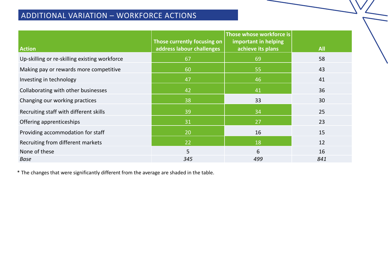### ADDITIONAL VARIATION – WORKFORCE ACTIONS

| <b>Action</b>                                 | Those currently focusing on<br>address labour challenges | Those whose workforce is<br>important in helping<br>achieve its plans | <b>All</b> |
|-----------------------------------------------|----------------------------------------------------------|-----------------------------------------------------------------------|------------|
| Up-skilling or re-skilling existing workforce | 67                                                       | 69                                                                    | 58         |
| Making pay or rewards more competitive        | 60                                                       | 55                                                                    | 43         |
| Investing in technology                       | 47                                                       | 46                                                                    | 41         |
| Collaborating with other businesses           | 42                                                       | 41                                                                    | 36         |
| Changing our working practices                | 38                                                       | 33                                                                    | 30         |
| Recruiting staff with different skills        | 39                                                       | 34                                                                    | 25         |
| Offering apprenticeships                      | 31                                                       | 27                                                                    | 23         |
| Providing accommodation for staff             | 20                                                       | 16                                                                    | 15         |
| Recruiting from different markets             | 22                                                       | 18                                                                    | 12         |
| None of these                                 | 5                                                        | 6                                                                     | 16         |
| <b>Base</b>                                   | 345                                                      | 499                                                                   | 841        |

\* The changes that were significantly different from the average are shaded in the table.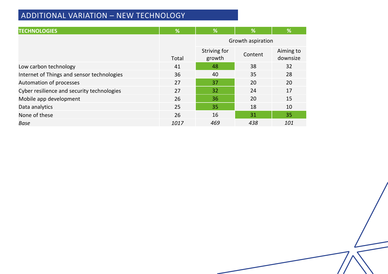### ADDITIONAL VARIATION – NEW TECHNOLOGY

| <b>TECHNOLOGIES</b>                        | %     | %                      | %       | %                     |
|--------------------------------------------|-------|------------------------|---------|-----------------------|
|                                            |       | Growth aspiration      |         |                       |
|                                            | Total | Striving for<br>growth | Content | Aiming to<br>downsize |
| Low carbon technology                      | 41    | 48                     | 38      | 32                    |
| Internet of Things and sensor technologies | 36    | 40                     | 35      | 28                    |
| Automation of processes                    | 27    | 37                     | 20      | 20                    |
| Cyber resilience and security technologies | 27    | 32                     | 24      | 17                    |
| Mobile app development                     | 26    | 36                     | 20      | 15                    |
| Data analytics                             | 25    | 35                     | 18      | 10                    |
| None of these                              | 26    | 16                     | 31      | 35                    |
| <b>Base</b>                                | 1017  | 469                    | 438     | 101                   |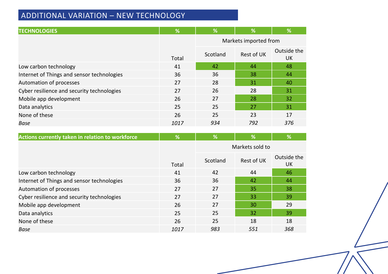### ADDITIONAL VARIATION – NEW TECHNOLOGY

| <b>TECHNOLOGIES</b>                        | %     | $\sqrt{2}$            | %          | %                 |
|--------------------------------------------|-------|-----------------------|------------|-------------------|
|                                            |       | Markets imported from |            |                   |
|                                            | Total | Scotland              | Rest of UK | Outside the<br>UK |
| Low carbon technology                      | 41    | 42                    | 44         | 48                |
| Internet of Things and sensor technologies | 36    | 36                    | 38         | 44                |
| Automation of processes                    | 27    | 28                    | 31         | 40                |
| Cyber resilience and security technologies | 27    | 26                    | 28         | 31                |
| Mobile app development                     | 26    | 27                    | 28         | 32                |
| Data analytics                             | 25    | 25                    | 27         | 31                |
| None of these                              | 26    | 25                    | 23         | 17                |
| <b>Base</b>                                | 1017  | 934                   | 792        | 376               |

| Actions currently taken in relation to workforce | %            | %        | %                 | %                        |
|--------------------------------------------------|--------------|----------|-------------------|--------------------------|
|                                                  |              |          | Markets sold to   |                          |
|                                                  | <b>Total</b> | Scotland | <b>Rest of UK</b> | Outside the<br><b>UK</b> |
| Low carbon technology                            | 41           | 42       | 44                | 46                       |
| Internet of Things and sensor technologies       | 36           | 36       | 42                | 44                       |
| Automation of processes                          | 27           | 27       | 35                | 38                       |
| Cyber resilience and security technologies       | 27           | 27       | 33                | 39                       |
| Mobile app development                           | 26           | 27       | 30                | 29                       |
| Data analytics                                   | 25           | 25       | 32                | 39                       |
| None of these                                    | 26           | 25       | 18                | 18                       |
| Base                                             | 1017         | 983      | 551               | 368                      |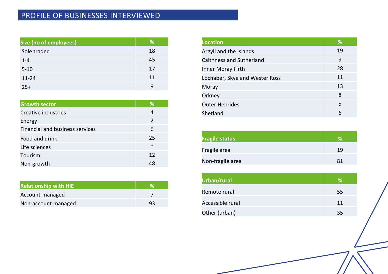### PROFILE OF BUSINESSES INTERVIEWED

| Size (no of employees) | %  |
|------------------------|----|
| Sole trader            | 18 |
| $1 - 4$                | 45 |
| $5 - 10$               | 17 |
| $11 - 24$              | 11 |
| $25+$                  | q  |

| <b>Growth sector</b>            | %             |
|---------------------------------|---------------|
| <b>Creative industries</b>      | 4             |
| Energy                          | $\mathcal{P}$ |
| Financial and business services | 9             |
| Food and drink                  | 25            |
| Life sciences                   | $\ast$        |
| Tourism                         | 12            |
| Non-growth                      | 48            |

| <b>Relationship with HIE</b> |    |
|------------------------------|----|
| Account-managed              |    |
| Non-account managed          | 93 |

| Location                       | %  |
|--------------------------------|----|
| Argyll and the Islands         | 19 |
| Caithness and Sutherland       | 9  |
| Inner Moray Firth              | 28 |
| Lochaber, Skye and Wester Ross | 11 |
| Moray                          | 13 |
| Orkney                         | 8  |
| <b>Outer Hebrides</b>          | 5  |
| Shetland                       | 6  |

| <b>Fragile status</b> | $\mathcal{A}$ |
|-----------------------|---------------|
| Fragile area          | 19            |
| Non-fragile area      | 81            |

| Urban/rural      | ℅  |
|------------------|----|
| Remote rural     | 55 |
| Accessible rural | 11 |
| Other (urban)    | 35 |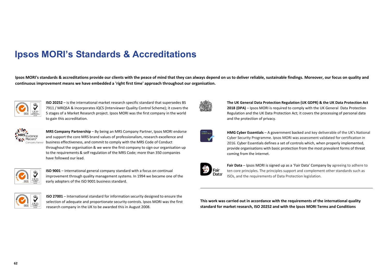### **Ipsos MORI's Standards & Accreditations**

**Ipsos MORI's standards & accreditations provide our clients with the peace of mind that they can always depend on us to deliver reliable, sustainable findings. Moreover, our focus on quality and continuous improvement means we have embedded a 'right first time' approach throughout our organisation.**



**ISO 20252** – is the international market research specific standard that supersedes BS 7911 / MRQSA & incorporates IQCS (Interviewer Quality Control Scheme); it covers the 5 stages of a Market Research project. Ipsos MORI was the first company in the world to gain this accreditation.



**MRS Company Partnership** – By being an MRS Company Partner, Ipsos MORI endorse and support the core MRS brand values of professionalism, research excellence and business effectiveness, and commit to comply with the MRS Code of Conduct throughout the organisation & we were the first company to sign our organisation up to the requirements & self regulation of the MRS Code; more than 350 companies have followed our lead.



**ISO 9001** – International general company standard with a focus on continual improvement through quality management systems. In 1994 we became one of the early adopters of the ISO 9001 business standard.



**ISO 27001** – International standard for information security designed to ensure the selection of adequate and proportionate security controls. Ipsos MORI was the first research company in the UK to be awarded this in August 2008.



**The UK General Data Protection Regulation (UK GDPR) & the UK Data Protection Act 2018 (DPA)** – Ipsos MORI is required to comply with the UK General Data Protection Regulation and the UK Data Protection Act; it covers the processing of personal data and the protection of privacy.



**HMG Cyber Essentials** – A government backed and key deliverable of the UK's National Cyber Security Programme. Ipsos MORI was assessment validated for certification in 2016. Cyber Essentials defines a set of controls which, when properly implemented, provide organisations with basic protection from the most prevalent forms of threat coming from the internet.



**Fair Data** – Ipsos MORI is signed up as a 'Fair Data' Company by agreeing to adhere to ten core principles. The principles support and complement other standards such as ISOs, and the requirements of Data Protection legislation.

**This work was carried out in accordance with the requirements of the international quality standard for market research, ISO 20252 and with the Ipsos MORI Terms and Conditions**